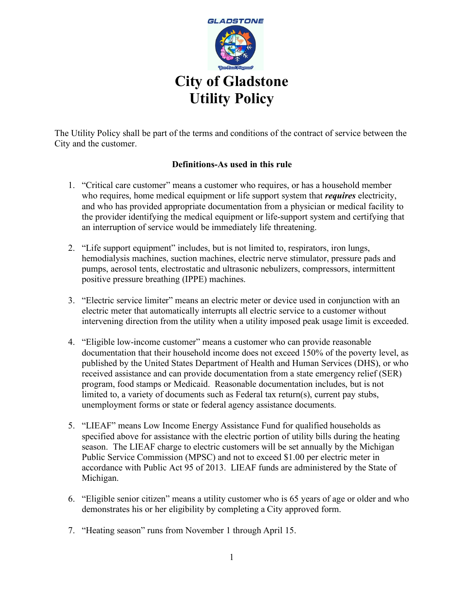

The Utility Policy shall be part of the terms and conditions of the contract of service between the City and the customer.

# **Definitions-As used in this rule**

- 1. "Critical care customer" means a customer who requires, or has a household member who requires, home medical equipment or life support system that *requires* electricity, and who has provided appropriate documentation from a physician or medical facility to the provider identifying the medical equipment or life-support system and certifying that an interruption of service would be immediately life threatening.
- 2. "Life support equipment" includes, but is not limited to, respirators, iron lungs, hemodialysis machines, suction machines, electric nerve stimulator, pressure pads and pumps, aerosol tents, electrostatic and ultrasonic nebulizers, compressors, intermittent positive pressure breathing (IPPE) machines.
- 3. "Electric service limiter" means an electric meter or device used in conjunction with an electric meter that automatically interrupts all electric service to a customer without intervening direction from the utility when a utility imposed peak usage limit is exceeded.
- 4. "Eligible low-income customer" means a customer who can provide reasonable documentation that their household income does not exceed 150% of the poverty level, as published by the United States Department of Health and Human Services (DHS), or who received assistance and can provide documentation from a state emergency relief (SER) program, food stamps or Medicaid. Reasonable documentation includes, but is not limited to, a variety of documents such as Federal tax return(s), current pay stubs, unemployment forms or state or federal agency assistance documents.
- 5. "LIEAF" means Low Income Energy Assistance Fund for qualified households as specified above for assistance with the electric portion of utility bills during the heating season. The LIEAF charge to electric customers will be set annually by the Michigan Public Service Commission (MPSC) and not to exceed \$1.00 per electric meter in accordance with Public Act 95 of 2013. LIEAF funds are administered by the State of Michigan.
- 6. "Eligible senior citizen" means a utility customer who is 65 years of age or older and who demonstrates his or her eligibility by completing a City approved form.
- 7. "Heating season" runs from November 1 through April 15.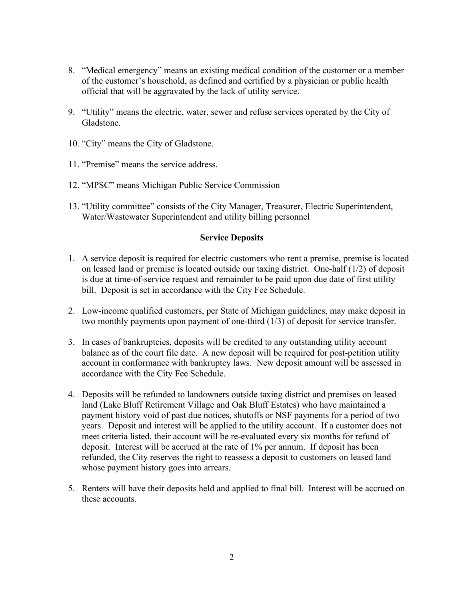- 8. "Medical emergency" means an existing medical condition of the customer or a member of the customer's household, as defined and certified by a physician or public health official that will be aggravated by the lack of utility service.
- 9. "Utility" means the electric, water, sewer and refuse services operated by the City of Gladstone.
- 10. "City" means the City of Gladstone.
- 11. "Premise" means the service address.
- 12. "MPSC" means Michigan Public Service Commission
- 13. "Utility committee" consists of the City Manager, Treasurer, Electric Superintendent, Water/Wastewater Superintendent and utility billing personnel

#### **Service Deposits**

- 1. A service deposit is required for electric customers who rent a premise, premise is located on leased land or premise is located outside our taxing district. One-half (1/2) of deposit is due at time-of-service request and remainder to be paid upon due date of first utility bill. Deposit is set in accordance with the City Fee Schedule.
- 2. Low-income qualified customers, per State of Michigan guidelines, may make deposit in two monthly payments upon payment of one-third (1/3) of deposit for service transfer.
- 3. In cases of bankruptcies, deposits will be credited to any outstanding utility account balance as of the court file date. A new deposit will be required for post-petition utility account in conformance with bankruptcy laws. New deposit amount will be assessed in accordance with the City Fee Schedule.
- 4. Deposits will be refunded to landowners outside taxing district and premises on leased land (Lake Bluff Retirement Village and Oak Bluff Estates) who have maintained a payment history void of past due notices, shutoffs or NSF payments for a period of two years. Deposit and interest will be applied to the utility account. If a customer does not meet criteria listed, their account will be re-evaluated every six months for refund of deposit. Interest will be accrued at the rate of 1% per annum. If deposit has been refunded, the City reserves the right to reassess a deposit to customers on leased land whose payment history goes into arrears.
- 5. Renters will have their deposits held and applied to final bill. Interest will be accrued on these accounts.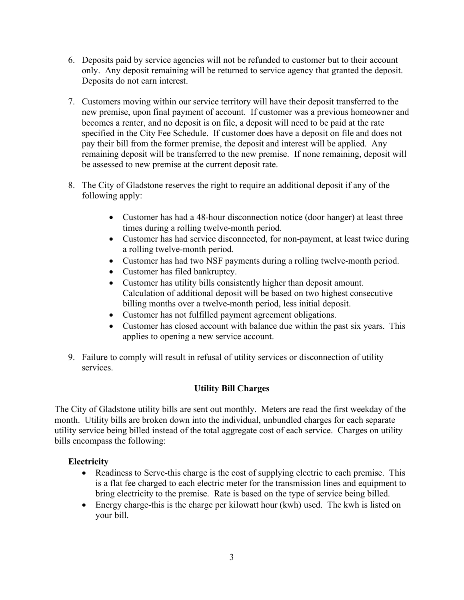- 6. Deposits paid by service agencies will not be refunded to customer but to their account only. Any deposit remaining will be returned to service agency that granted the deposit. Deposits do not earn interest.
- 7. Customers moving within our service territory will have their deposit transferred to the new premise, upon final payment of account. If customer was a previous homeowner and becomes a renter, and no deposit is on file, a deposit will need to be paid at the rate specified in the City Fee Schedule. If customer does have a deposit on file and does not pay their bill from the former premise, the deposit and interest will be applied. Any remaining deposit will be transferred to the new premise. If none remaining, deposit will be assessed to new premise at the current deposit rate.
- 8. The City of Gladstone reserves the right to require an additional deposit if any of the following apply:
	- Customer has had a 48-hour disconnection notice (door hanger) at least three times during a rolling twelve-month period.
	- Customer has had service disconnected, for non-payment, at least twice during a rolling twelve-month period.
	- Customer has had two NSF payments during a rolling twelve-month period.
	- Customer has filed bankruptcy.
	- Customer has utility bills consistently higher than deposit amount. Calculation of additional deposit will be based on two highest consecutive billing months over a twelve-month period, less initial deposit.
	- Customer has not fulfilled payment agreement obligations.
	- Customer has closed account with balance due within the past six years. This applies to opening a new service account.
- 9. Failure to comply will result in refusal of utility services or disconnection of utility services.

# **Utility Bill Charges**

The City of Gladstone utility bills are sent out monthly. Meters are read the first weekday of the month. Utility bills are broken down into the individual, unbundled charges for each separate utility service being billed instead of the total aggregate cost of each service. Charges on utility bills encompass the following:

# **Electricity**

- Readiness to Serve-this charge is the cost of supplying electric to each premise. This is a flat fee charged to each electric meter for the transmission lines and equipment to bring electricity to the premise. Rate is based on the type of service being billed.
- Energy charge-this is the charge per kilowatt hour (kwh) used. The kwh is listed on your bill.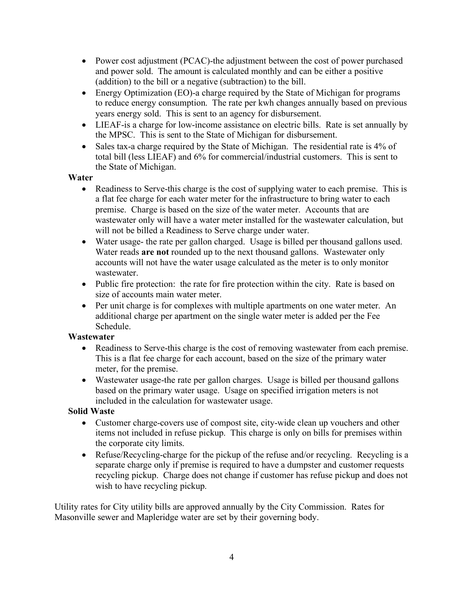- Power cost adjustment (PCAC)-the adjustment between the cost of power purchased and power sold. The amount is calculated monthly and can be either a positive (addition) to the bill or a negative (subtraction) to the bill.
- Energy Optimization (EO)-a charge required by the State of Michigan for programs to reduce energy consumption. The rate per kwh changes annually based on previous years energy sold. This is sent to an agency for disbursement.
- LIEAF-is a charge for low-income assistance on electric bills. Rate is set annually by the MPSC. This is sent to the State of Michigan for disbursement.
- Sales tax-a charge required by the State of Michigan. The residential rate is 4% of total bill (less LIEAF) and 6% for commercial/industrial customers. This is sent to the State of Michigan.

## **Water**

- Readiness to Serve-this charge is the cost of supplying water to each premise. This is a flat fee charge for each water meter for the infrastructure to bring water to each premise. Charge is based on the size of the water meter. Accounts that are wastewater only will have a water meter installed for the wastewater calculation, but will not be billed a Readiness to Serve charge under water.
- Water usage- the rate per gallon charged. Usage is billed per thousand gallons used. Water reads **are not** rounded up to the next thousand gallons. Wastewater only accounts will not have the water usage calculated as the meter is to only monitor wastewater.
- Public fire protection: the rate for fire protection within the city. Rate is based on size of accounts main water meter.
- Per unit charge is for complexes with multiple apartments on one water meter. An additional charge per apartment on the single water meter is added per the Fee Schedule.

# **Wastewater**

- Readiness to Serve-this charge is the cost of removing wastewater from each premise. This is a flat fee charge for each account, based on the size of the primary water meter, for the premise.
- Wastewater usage-the rate per gallon charges. Usage is billed per thousand gallons based on the primary water usage. Usage on specified irrigation meters is not included in the calculation for wastewater usage.

# **Solid Waste**

- Customer charge-covers use of compost site, city-wide clean up vouchers and other items not included in refuse pickup. This charge is only on bills for premises within the corporate city limits.
- Refuse/Recycling-charge for the pickup of the refuse and/or recycling. Recycling is a separate charge only if premise is required to have a dumpster and customer requests recycling pickup. Charge does not change if customer has refuse pickup and does not wish to have recycling pickup.

Utility rates for City utility bills are approved annually by the City Commission. Rates for Masonville sewer and Mapleridge water are set by their governing body.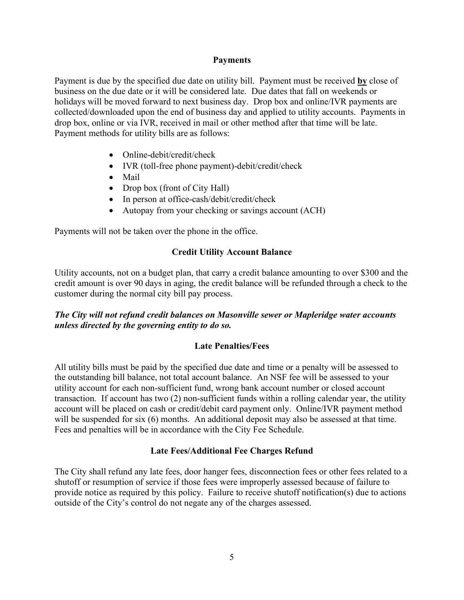#### **Payments**

Payment is due by the specified due date on utility bill. Payment must be received **by** close of business on the due date or it will be considered late. Due dates that fall on weekends or holidays will be moved forward to next business day. Drop box and online/IVR payments are collected/downloaded upon the end of business day and applied to utility accounts. Payments in drop box, online or via IVR, received in mail or other method after that time will be late. Payment methods for utility bills are as follows:

- Online-debit/credit/check
- IVR (toll-free phone payment)-debit/credit/check
- Mail
- Drop box (front of City Hall)
- In person at office-cash/debit/credit/check
- Autopay from your checking or savings account (ACH)

Payments will not be taken over the phone in the office.

## **Credit Utility Account Balance**

Utility accounts, not on a budget plan, that carry a credit balance amounting to over \$300 and the credit amount is over 90 days in aging, the credit balance will be refunded through a check to the customer during the normal city bill pay process.

## *The City will not refund credit balances on Masonville sewer or Mapleridge water accounts unless directed by the governing entity to do so.*

#### **Late Penalties/Fees**

All utility bills must be paid by the specified due date and time or a penalty will be assessed to the outstanding bill balance, not total account balance. An NSF fee will be assessed to your utility account for each non-sufficient fund, wrong bank account number or closed account transaction. If account has two (2) non-sufficient funds within a rolling calendar year, the utility account will be placed on cash or credit/debit card payment only. Online/IVR payment method will be suspended for six (6) months. An additional deposit may also be assessed at that time. Fees and penalties will be in accordance with the City Fee Schedule.

#### **Late Fees/Additional Fee Charges Refund**

The City shall refund any late fees, door hanger fees, disconnection fees or other fees related to a shutoff or resumption of service if those fees were improperly assessed because of failure to provide notice as required by this policy. Failure to receive shutoff notification(s) due to actions outside of the City's control do not negate any of the charges assessed.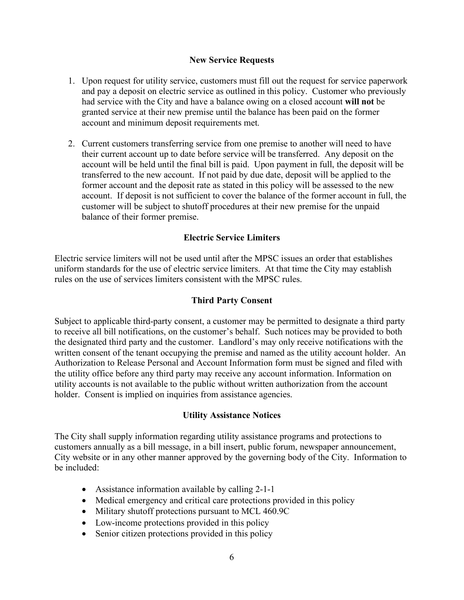#### **New Service Requests**

- 1. Upon request for utility service, customers must fill out the request for service paperwork and pay a deposit on electric service as outlined in this policy. Customer who previously had service with the City and have a balance owing on a closed account **will not** be granted service at their new premise until the balance has been paid on the former account and minimum deposit requirements met.
- 2. Current customers transferring service from one premise to another will need to have their current account up to date before service will be transferred. Any deposit on the account will be held until the final bill is paid. Upon payment in full, the deposit will be transferred to the new account. If not paid by due date, deposit will be applied to the former account and the deposit rate as stated in this policy will be assessed to the new account. If deposit is not sufficient to cover the balance of the former account in full, the customer will be subject to shutoff procedures at their new premise for the unpaid balance of their former premise.

#### **Electric Service Limiters**

Electric service limiters will not be used until after the MPSC issues an order that establishes uniform standards for the use of electric service limiters. At that time the City may establish rules on the use of services limiters consistent with the MPSC rules.

#### **Third Party Consent**

Subject to applicable third-party consent, a customer may be permitted to designate a third party to receive all bill notifications, on the customer's behalf. Such notices may be provided to both the designated third party and the customer. Landlord's may only receive notifications with the written consent of the tenant occupying the premise and named as the utility account holder. An Authorization to Release Personal and Account Information form must be signed and filed with the utility office before any third party may receive any account information. Information on utility accounts is not available to the public without written authorization from the account holder. Consent is implied on inquiries from assistance agencies.

#### **Utility Assistance Notices**

The City shall supply information regarding utility assistance programs and protections to customers annually as a bill message, in a bill insert, public forum, newspaper announcement, City website or in any other manner approved by the governing body of the City. Information to be included:

- Assistance information available by calling 2-1-1
- Medical emergency and critical care protections provided in this policy
- Military shutoff protections pursuant to MCL 460.9C
- Low-income protections provided in this policy
- Senior citizen protections provided in this policy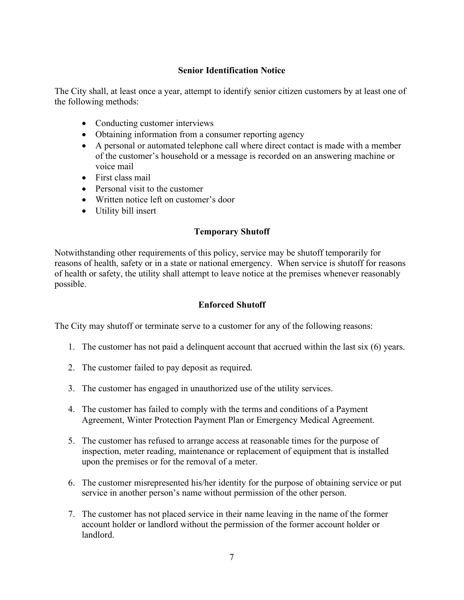## **Senior Identification Notice**

The City shall, at least once a year, attempt to identify senior citizen customers by at least one of the following methods:

- Conducting customer interviews
- Obtaining information from a consumer reporting agency
- A personal or automated telephone call where direct contact is made with a member of the customer's household or a message is recorded on an answering machine or voice mail
- First class mail
- Personal visit to the customer
- Written notice left on customer's door
- Utility bill insert

## **Temporary Shutoff**

Notwithstanding other requirements of this policy, service may be shutoff temporarily for reasons of health, safety or in a state or national emergency. When service is shutoff for reasons of health or safety, the utility shall attempt to leave notice at the premises whenever reasonably possible.

#### **Enforced Shutoff**

The City may shutoff or terminate serve to a customer for any of the following reasons:

- 1. The customer has not paid a delinquent account that accrued within the last six (6) years.
- 2. The customer failed to pay deposit as required.
- 3. The customer has engaged in unauthorized use of the utility services.
- 4. The customer has failed to comply with the terms and conditions of a Payment Agreement, Winter Protection Payment Plan or Emergency Medical Agreement.
- 5. The customer has refused to arrange access at reasonable times for the purpose of inspection, meter reading, maintenance or replacement of equipment that is installed upon the premises or for the removal of a meter.
- 6. The customer misrepresented his/her identity for the purpose of obtaining service or put service in another person's name without permission of the other person.
- 7. The customer has not placed service in their name leaving in the name of the former account holder or landlord without the permission of the former account holder or landlord.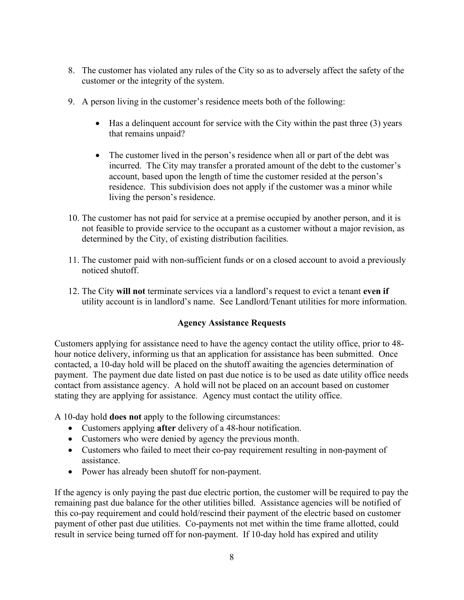- 8. The customer has violated any rules of the City so as to adversely affect the safety of the customer or the integrity of the system.
- 9. A person living in the customer's residence meets both of the following:
	- Has a delinquent account for service with the City within the past three (3) years that remains unpaid?
	- The customer lived in the person's residence when all or part of the debt was incurred. The City may transfer a prorated amount of the debt to the customer's account, based upon the length of time the customer resided at the person's residence. This subdivision does not apply if the customer was a minor while living the person's residence.
- 10. The customer has not paid for service at a premise occupied by another person, and it is not feasible to provide service to the occupant as a customer without a major revision, as determined by the City, of existing distribution facilities.
- 11. The customer paid with non-sufficient funds or on a closed account to avoid a previously noticed shutoff.
- 12. The City **will not** terminate services via a landlord's request to evict a tenant **even if** utility account is in landlord's name. See Landlord/Tenant utilities for more information.

# **Agency Assistance Requests**

Customers applying for assistance need to have the agency contact the utility office, prior to 48 hour notice delivery, informing us that an application for assistance has been submitted. Once contacted, a 10-day hold will be placed on the shutoff awaiting the agencies determination of payment. The payment due date listed on past due notice is to be used as date utility office needs contact from assistance agency. A hold will not be placed on an account based on customer stating they are applying for assistance. Agency must contact the utility office.

A 10-day hold **does not** apply to the following circumstances:

- Customers applying **after** delivery of a 48-hour notification.
- Customers who were denied by agency the previous month.
- Customers who failed to meet their co-pay requirement resulting in non-payment of assistance.
- Power has already been shutoff for non-payment.

If the agency is only paying the past due electric portion, the customer will be required to pay the remaining past due balance for the other utilities billed. Assistance agencies will be notified of this co-pay requirement and could hold/rescind their payment of the electric based on customer payment of other past due utilities. Co-payments not met within the time frame allotted, could result in service being turned off for non-payment. If 10-day hold has expired and utility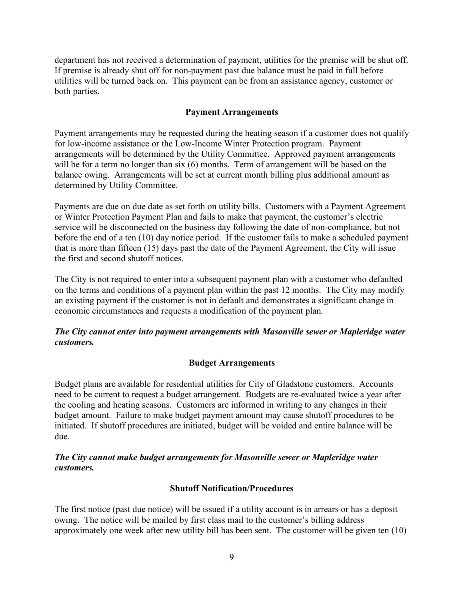department has not received a determination of payment, utilities for the premise will be shut off. If premise is already shut off for non-payment past due balance must be paid in full before utilities will be turned back on. This payment can be from an assistance agency, customer or both parties.

## **Payment Arrangements**

Payment arrangements may be requested during the heating season if a customer does not qualify for low-income assistance or the Low-Income Winter Protection program. Payment arrangements will be determined by the Utility Committee. Approved payment arrangements will be for a term no longer than six (6) months. Term of arrangement will be based on the balance owing. Arrangements will be set at current month billing plus additional amount as determined by Utility Committee.

Payments are due on due date as set forth on utility bills. Customers with a Payment Agreement or Winter Protection Payment Plan and fails to make that payment, the customer's electric service will be disconnected on the business day following the date of non-compliance, but not before the end of a ten (10) day notice period. If the customer fails to make a scheduled payment that is more than fifteen (15) days past the date of the Payment Agreement, the City will issue the first and second shutoff notices.

The City is not required to enter into a subsequent payment plan with a customer who defaulted on the terms and conditions of a payment plan within the past 12 months. The City may modify an existing payment if the customer is not in default and demonstrates a significant change in economic circumstances and requests a modification of the payment plan.

# *The City cannot enter into payment arrangements with Masonville sewer or Mapleridge water customers.*

# **Budget Arrangements**

Budget plans are available for residential utilities for City of Gladstone customers. Accounts need to be current to request a budget arrangement. Budgets are re-evaluated twice a year after the cooling and heating seasons. Customers are informed in writing to any changes in their budget amount. Failure to make budget payment amount may cause shutoff procedures to be initiated. If shutoff procedures are initiated, budget will be voided and entire balance will be due.

## *The City cannot make budget arrangements for Masonville sewer or Mapleridge water customers.*

#### **Shutoff Notification/Procedures**

The first notice (past due notice) will be issued if a utility account is in arrears or has a deposit owing. The notice will be mailed by first class mail to the customer's billing address approximately one week after new utility bill has been sent. The customer will be given ten (10)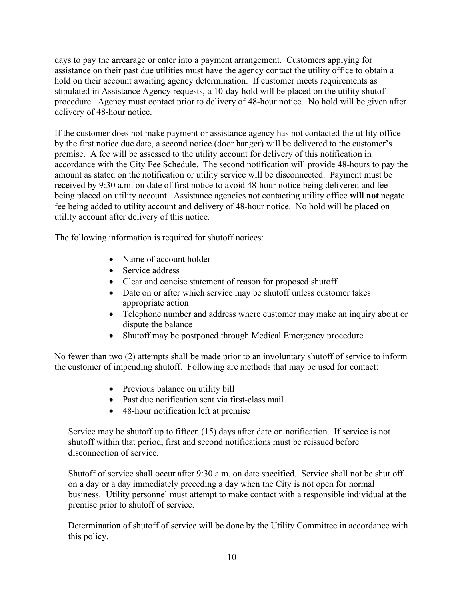days to pay the arrearage or enter into a payment arrangement. Customers applying for assistance on their past due utilities must have the agency contact the utility office to obtain a hold on their account awaiting agency determination. If customer meets requirements as stipulated in Assistance Agency requests, a 10-day hold will be placed on the utility shutoff procedure. Agency must contact prior to delivery of 48-hour notice. No hold will be given after delivery of 48-hour notice.

If the customer does not make payment or assistance agency has not contacted the utility office by the first notice due date, a second notice (door hanger) will be delivered to the customer's premise. A fee will be assessed to the utility account for delivery of this notification in accordance with the City Fee Schedule. The second notification will provide 48-hours to pay the amount as stated on the notification or utility service will be disconnected. Payment must be received by 9:30 a.m. on date of first notice to avoid 48-hour notice being delivered and fee being placed on utility account. Assistance agencies not contacting utility office **will not** negate fee being added to utility account and delivery of 48-hour notice. No hold will be placed on utility account after delivery of this notice.

The following information is required for shutoff notices:

- Name of account holder
- Service address
- Clear and concise statement of reason for proposed shutoff
- Date on or after which service may be shutoff unless customer takes appropriate action
- Telephone number and address where customer may make an inquiry about or dispute the balance
- Shutoff may be postponed through Medical Emergency procedure

No fewer than two (2) attempts shall be made prior to an involuntary shutoff of service to inform the customer of impending shutoff. Following are methods that may be used for contact:

- Previous balance on utility bill
- Past due notification sent via first-class mail
- 48-hour notification left at premise

Service may be shutoff up to fifteen (15) days after date on notification. If service is not shutoff within that period, first and second notifications must be reissued before disconnection of service.

Shutoff of service shall occur after 9:30 a.m. on date specified. Service shall not be shut off on a day or a day immediately preceding a day when the City is not open for normal business. Utility personnel must attempt to make contact with a responsible individual at the premise prior to shutoff of service.

Determination of shutoff of service will be done by the Utility Committee in accordance with this policy.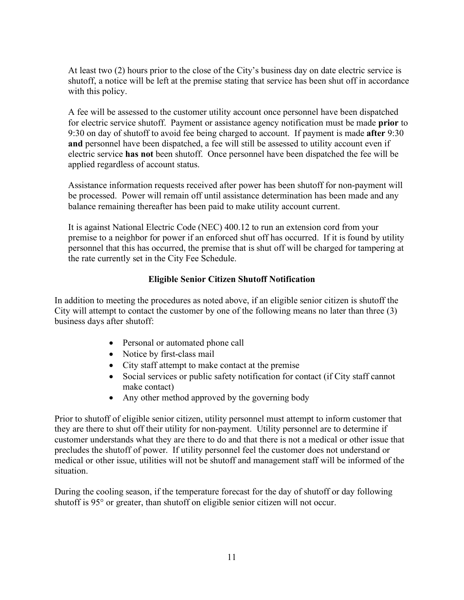At least two (2) hours prior to the close of the City's business day on date electric service is shutoff, a notice will be left at the premise stating that service has been shut off in accordance with this policy.

A fee will be assessed to the customer utility account once personnel have been dispatched for electric service shutoff. Payment or assistance agency notification must be made **prior** to 9:30 on day of shutoff to avoid fee being charged to account. If payment is made **after** 9:30 **and** personnel have been dispatched, a fee will still be assessed to utility account even if electric service **has not** been shutoff. Once personnel have been dispatched the fee will be applied regardless of account status.

Assistance information requests received after power has been shutoff for non-payment will be processed. Power will remain off until assistance determination has been made and any balance remaining thereafter has been paid to make utility account current.

It is against National Electric Code (NEC) 400.12 to run an extension cord from your premise to a neighbor for power if an enforced shut off has occurred. If it is found by utility personnel that this has occurred, the premise that is shut off will be charged for tampering at the rate currently set in the City Fee Schedule.

# **Eligible Senior Citizen Shutoff Notification**

In addition to meeting the procedures as noted above, if an eligible senior citizen is shutoff the City will attempt to contact the customer by one of the following means no later than three (3) business days after shutoff:

- Personal or automated phone call
- Notice by first-class mail
- City staff attempt to make contact at the premise
- Social services or public safety notification for contact (if City staff cannot make contact)
- Any other method approved by the governing body

Prior to shutoff of eligible senior citizen, utility personnel must attempt to inform customer that they are there to shut off their utility for non-payment. Utility personnel are to determine if customer understands what they are there to do and that there is not a medical or other issue that precludes the shutoff of power. If utility personnel feel the customer does not understand or medical or other issue, utilities will not be shutoff and management staff will be informed of the situation.

During the cooling season, if the temperature forecast for the day of shutoff or day following shutoff is 95° or greater, than shutoff on eligible senior citizen will not occur.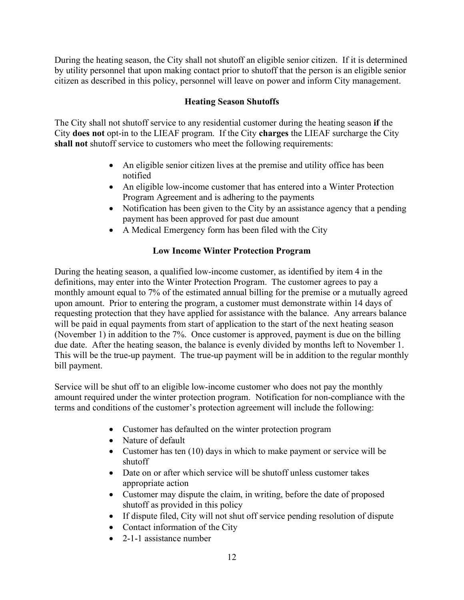During the heating season, the City shall not shutoff an eligible senior citizen. If it is determined by utility personnel that upon making contact prior to shutoff that the person is an eligible senior citizen as described in this policy, personnel will leave on power and inform City management.

# **Heating Season Shutoffs**

The City shall not shutoff service to any residential customer during the heating season **if** the City **does not** opt-in to the LIEAF program. If the City **charges** the LIEAF surcharge the City **shall not** shutoff service to customers who meet the following requirements:

- An eligible senior citizen lives at the premise and utility office has been notified
- An eligible low-income customer that has entered into a Winter Protection Program Agreement and is adhering to the payments
- Notification has been given to the City by an assistance agency that a pending payment has been approved for past due amount
- A Medical Emergency form has been filed with the City

# **Low Income Winter Protection Program**

During the heating season, a qualified low-income customer, as identified by item 4 in the definitions, may enter into the Winter Protection Program. The customer agrees to pay a monthly amount equal to 7% of the estimated annual billing for the premise or a mutually agreed upon amount. Prior to entering the program, a customer must demonstrate within 14 days of requesting protection that they have applied for assistance with the balance. Any arrears balance will be paid in equal payments from start of application to the start of the next heating season (November 1) in addition to the 7%. Once customer is approved, payment is due on the billing due date. After the heating season, the balance is evenly divided by months left to November 1. This will be the true-up payment. The true-up payment will be in addition to the regular monthly bill payment.

Service will be shut off to an eligible low-income customer who does not pay the monthly amount required under the winter protection program. Notification for non-compliance with the terms and conditions of the customer's protection agreement will include the following:

- Customer has defaulted on the winter protection program
- Nature of default
- Customer has ten (10) days in which to make payment or service will be shutoff
- Date on or after which service will be shutoff unless customer takes appropriate action
- Customer may dispute the claim, in writing, before the date of proposed shutoff as provided in this policy
- If dispute filed, City will not shut off service pending resolution of dispute
- Contact information of the City
- 2-1-1 assistance number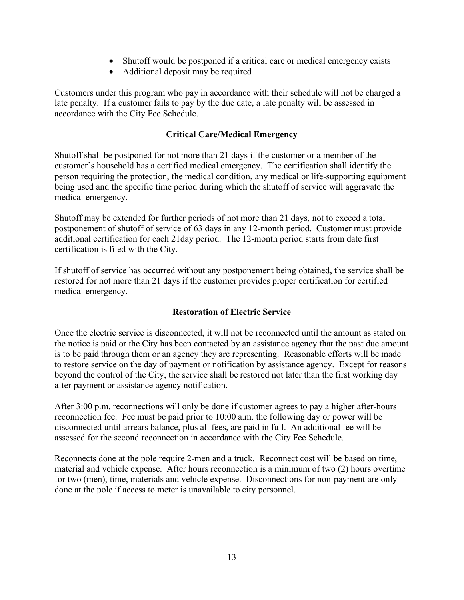- Shutoff would be postponed if a critical care or medical emergency exists
- Additional deposit may be required

Customers under this program who pay in accordance with their schedule will not be charged a late penalty. If a customer fails to pay by the due date, a late penalty will be assessed in accordance with the City Fee Schedule.

# **Critical Care/Medical Emergency**

Shutoff shall be postponed for not more than 21 days if the customer or a member of the customer's household has a certified medical emergency. The certification shall identify the person requiring the protection, the medical condition, any medical or life-supporting equipment being used and the specific time period during which the shutoff of service will aggravate the medical emergency.

Shutoff may be extended for further periods of not more than 21 days, not to exceed a total postponement of shutoff of service of 63 days in any 12-month period. Customer must provide additional certification for each 21day period. The 12-month period starts from date first certification is filed with the City.

If shutoff of service has occurred without any postponement being obtained, the service shall be restored for not more than 21 days if the customer provides proper certification for certified medical emergency.

# **Restoration of Electric Service**

Once the electric service is disconnected, it will not be reconnected until the amount as stated on the notice is paid or the City has been contacted by an assistance agency that the past due amount is to be paid through them or an agency they are representing. Reasonable efforts will be made to restore service on the day of payment or notification by assistance agency. Except for reasons beyond the control of the City, the service shall be restored not later than the first working day after payment or assistance agency notification.

After 3:00 p.m. reconnections will only be done if customer agrees to pay a higher after-hours reconnection fee. Fee must be paid prior to 10:00 a.m. the following day or power will be disconnected until arrears balance, plus all fees, are paid in full. An additional fee will be assessed for the second reconnection in accordance with the City Fee Schedule.

Reconnects done at the pole require 2-men and a truck. Reconnect cost will be based on time, material and vehicle expense. After hours reconnection is a minimum of two (2) hours overtime for two (men), time, materials and vehicle expense. Disconnections for non-payment are only done at the pole if access to meter is unavailable to city personnel.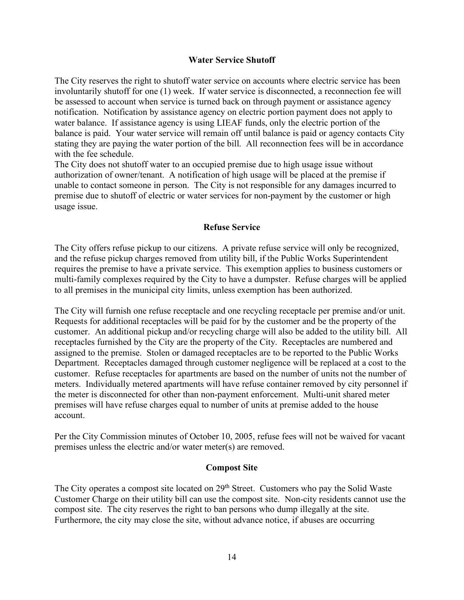#### **Water Service Shutoff**

The City reserves the right to shutoff water service on accounts where electric service has been involuntarily shutoff for one (1) week. If water service is disconnected, a reconnection fee will be assessed to account when service is turned back on through payment or assistance agency notification. Notification by assistance agency on electric portion payment does not apply to water balance. If assistance agency is using LIEAF funds, only the electric portion of the balance is paid. Your water service will remain off until balance is paid or agency contacts City stating they are paying the water portion of the bill. All reconnection fees will be in accordance with the fee schedule.

The City does not shutoff water to an occupied premise due to high usage issue without authorization of owner/tenant. A notification of high usage will be placed at the premise if unable to contact someone in person. The City is not responsible for any damages incurred to premise due to shutoff of electric or water services for non-payment by the customer or high usage issue.

#### **Refuse Service**

The City offers refuse pickup to our citizens. A private refuse service will only be recognized, and the refuse pickup charges removed from utility bill, if the Public Works Superintendent requires the premise to have a private service. This exemption applies to business customers or multi-family complexes required by the City to have a dumpster. Refuse charges will be applied to all premises in the municipal city limits, unless exemption has been authorized.

The City will furnish one refuse receptacle and one recycling receptacle per premise and/or unit. Requests for additional receptacles will be paid for by the customer and be the property of the customer. An additional pickup and/or recycling charge will also be added to the utility bill. All receptacles furnished by the City are the property of the City. Receptacles are numbered and assigned to the premise. Stolen or damaged receptacles are to be reported to the Public Works Department. Receptacles damaged through customer negligence will be replaced at a cost to the customer. Refuse receptacles for apartments are based on the number of units not the number of meters. Individually metered apartments will have refuse container removed by city personnel if the meter is disconnected for other than non-payment enforcement. Multi-unit shared meter premises will have refuse charges equal to number of units at premise added to the house account.

Per the City Commission minutes of October 10, 2005, refuse fees will not be waived for vacant premises unless the electric and/or water meter(s) are removed.

#### **Compost Site**

The City operates a compost site located on 29<sup>th</sup> Street. Customers who pay the Solid Waste Customer Charge on their utility bill can use the compost site. Non-city residents cannot use the compost site. The city reserves the right to ban persons who dump illegally at the site. Furthermore, the city may close the site, without advance notice, if abuses are occurring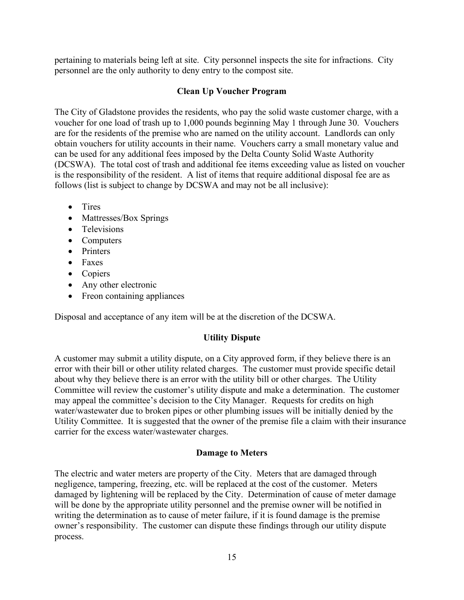pertaining to materials being left at site. City personnel inspects the site for infractions. City personnel are the only authority to deny entry to the compost site.

## **Clean Up Voucher Program**

The City of Gladstone provides the residents, who pay the solid waste customer charge, with a voucher for one load of trash up to 1,000 pounds beginning May 1 through June 30. Vouchers are for the residents of the premise who are named on the utility account. Landlords can only obtain vouchers for utility accounts in their name. Vouchers carry a small monetary value and can be used for any additional fees imposed by the Delta County Solid Waste Authority (DCSWA). The total cost of trash and additional fee items exceeding value as listed on voucher is the responsibility of the resident. A list of items that require additional disposal fee are as follows (list is subject to change by DCSWA and may not be all inclusive):

- Tires
- Mattresses/Box Springs
- Televisions
- Computers
- Printers
- Faxes
- Copiers
- Any other electronic
- Freon containing appliances

Disposal and acceptance of any item will be at the discretion of the DCSWA.

# **Utility Dispute**

A customer may submit a utility dispute, on a City approved form, if they believe there is an error with their bill or other utility related charges. The customer must provide specific detail about why they believe there is an error with the utility bill or other charges. The Utility Committee will review the customer's utility dispute and make a determination. The customer may appeal the committee's decision to the City Manager. Requests for credits on high water/wastewater due to broken pipes or other plumbing issues will be initially denied by the Utility Committee. It is suggested that the owner of the premise file a claim with their insurance carrier for the excess water/wastewater charges.

#### **Damage to Meters**

The electric and water meters are property of the City. Meters that are damaged through negligence, tampering, freezing, etc. will be replaced at the cost of the customer. Meters damaged by lightening will be replaced by the City. Determination of cause of meter damage will be done by the appropriate utility personnel and the premise owner will be notified in writing the determination as to cause of meter failure, if it is found damage is the premise owner's responsibility. The customer can dispute these findings through our utility dispute process.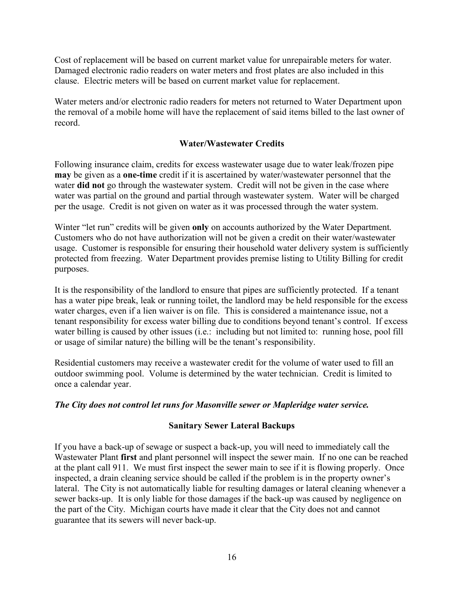Cost of replacement will be based on current market value for unrepairable meters for water. Damaged electronic radio readers on water meters and frost plates are also included in this clause. Electric meters will be based on current market value for replacement.

Water meters and/or electronic radio readers for meters not returned to Water Department upon the removal of a mobile home will have the replacement of said items billed to the last owner of record.

## **Water/Wastewater Credits**

Following insurance claim, credits for excess wastewater usage due to water leak/frozen pipe **may** be given as a **one-time** credit if it is ascertained by water/wastewater personnel that the water **did not** go through the wastewater system. Credit will not be given in the case where water was partial on the ground and partial through wastewater system. Water will be charged per the usage. Credit is not given on water as it was processed through the water system.

Winter "let run" credits will be given **only** on accounts authorized by the Water Department. Customers who do not have authorization will not be given a credit on their water/wastewater usage. Customer is responsible for ensuring their household water delivery system is sufficiently protected from freezing. Water Department provides premise listing to Utility Billing for credit purposes.

It is the responsibility of the landlord to ensure that pipes are sufficiently protected. If a tenant has a water pipe break, leak or running toilet, the landlord may be held responsible for the excess water charges, even if a lien waiver is on file. This is considered a maintenance issue, not a tenant responsibility for excess water billing due to conditions beyond tenant's control. If excess water billing is caused by other issues (i.e.: including but not limited to: running hose, pool fill or usage of similar nature) the billing will be the tenant's responsibility.

Residential customers may receive a wastewater credit for the volume of water used to fill an outdoor swimming pool. Volume is determined by the water technician. Credit is limited to once a calendar year.

#### *The City does not control let runs for Masonville sewer or Mapleridge water service.*

#### **Sanitary Sewer Lateral Backups**

If you have a back-up of sewage or suspect a back-up, you will need to immediately call the Wastewater Plant **first** and plant personnel will inspect the sewer main. If no one can be reached at the plant call 911. We must first inspect the sewer main to see if it is flowing properly. Once inspected, a drain cleaning service should be called if the problem is in the property owner's lateral. The City is not automatically liable for resulting damages or lateral cleaning whenever a sewer backs-up. It is only liable for those damages if the back-up was caused by negligence on the part of the City. Michigan courts have made it clear that the City does not and cannot guarantee that its sewers will never back-up.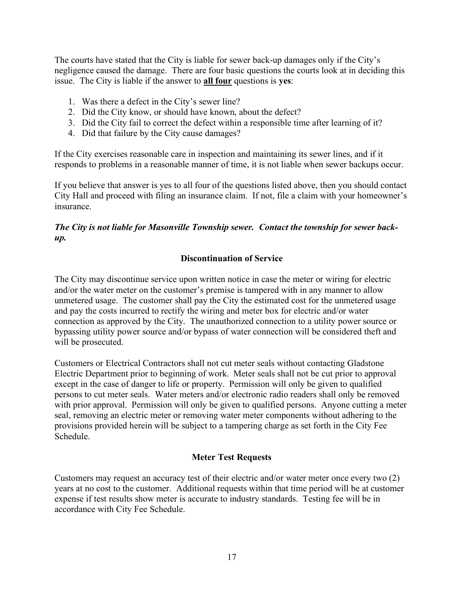The courts have stated that the City is liable for sewer back-up damages only if the City's negligence caused the damage. There are four basic questions the courts look at in deciding this issue. The City is liable if the answer to **all four** questions is **yes**:

- 1. Was there a defect in the City's sewer line?
- 2. Did the City know, or should have known, about the defect?
- 3. Did the City fail to correct the defect within a responsible time after learning of it?
- 4. Did that failure by the City cause damages?

If the City exercises reasonable care in inspection and maintaining its sewer lines, and if it responds to problems in a reasonable manner of time, it is not liable when sewer backups occur.

If you believe that answer is yes to all four of the questions listed above, then you should contact City Hall and proceed with filing an insurance claim. If not, file a claim with your homeowner's insurance.

# *The City is not liable for Masonville Township sewer. Contact the township for sewer backup.*

## **Discontinuation of Service**

The City may discontinue service upon written notice in case the meter or wiring for electric and/or the water meter on the customer's premise is tampered with in any manner to allow unmetered usage. The customer shall pay the City the estimated cost for the unmetered usage and pay the costs incurred to rectify the wiring and meter box for electric and/or water connection as approved by the City. The unauthorized connection to a utility power source or bypassing utility power source and/or bypass of water connection will be considered theft and will be prosecuted.

Customers or Electrical Contractors shall not cut meter seals without contacting Gladstone Electric Department prior to beginning of work. Meter seals shall not be cut prior to approval except in the case of danger to life or property. Permission will only be given to qualified persons to cut meter seals. Water meters and/or electronic radio readers shall only be removed with prior approval. Permission will only be given to qualified persons. Anyone cutting a meter seal, removing an electric meter or removing water meter components without adhering to the provisions provided herein will be subject to a tampering charge as set forth in the City Fee Schedule.

#### **Meter Test Requests**

Customers may request an accuracy test of their electric and/or water meter once every two (2) years at no cost to the customer. Additional requests within that time period will be at customer expense if test results show meter is accurate to industry standards. Testing fee will be in accordance with City Fee Schedule.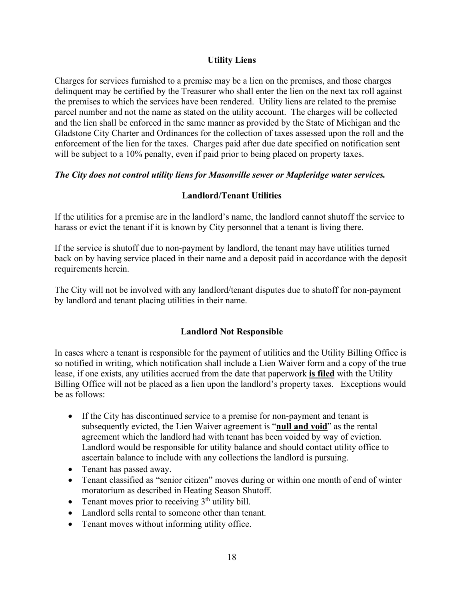## **Utility Liens**

Charges for services furnished to a premise may be a lien on the premises, and those charges delinquent may be certified by the Treasurer who shall enter the lien on the next tax roll against the premises to which the services have been rendered. Utility liens are related to the premise parcel number and not the name as stated on the utility account. The charges will be collected and the lien shall be enforced in the same manner as provided by the State of Michigan and the Gladstone City Charter and Ordinances for the collection of taxes assessed upon the roll and the enforcement of the lien for the taxes. Charges paid after due date specified on notification sent will be subject to a 10% penalty, even if paid prior to being placed on property taxes.

## *The City does not control utility liens for Masonville sewer or Mapleridge water services.*

# **Landlord/Tenant Utilities**

If the utilities for a premise are in the landlord's name, the landlord cannot shutoff the service to harass or evict the tenant if it is known by City personnel that a tenant is living there.

If the service is shutoff due to non-payment by landlord, the tenant may have utilities turned back on by having service placed in their name and a deposit paid in accordance with the deposit requirements herein.

The City will not be involved with any landlord/tenant disputes due to shutoff for non-payment by landlord and tenant placing utilities in their name.

# **Landlord Not Responsible**

In cases where a tenant is responsible for the payment of utilities and the Utility Billing Office is so notified in writing, which notification shall include a Lien Waiver form and a copy of the true lease, if one exists, any utilities accrued from the date that paperwork **is filed** with the Utility Billing Office will not be placed as a lien upon the landlord's property taxes. Exceptions would be as follows:

- If the City has discontinued service to a premise for non-payment and tenant is subsequently evicted, the Lien Waiver agreement is "**null and void**" as the rental agreement which the landlord had with tenant has been voided by way of eviction. Landlord would be responsible for utility balance and should contact utility office to ascertain balance to include with any collections the landlord is pursuing.
- Tenant has passed away.
- Tenant classified as "senior citizen" moves during or within one month of end of winter moratorium as described in Heating Season Shutoff.
- Tenant moves prior to receiving  $3<sup>th</sup>$  utility bill.
- Landlord sells rental to someone other than tenant.
- Tenant moves without informing utility office.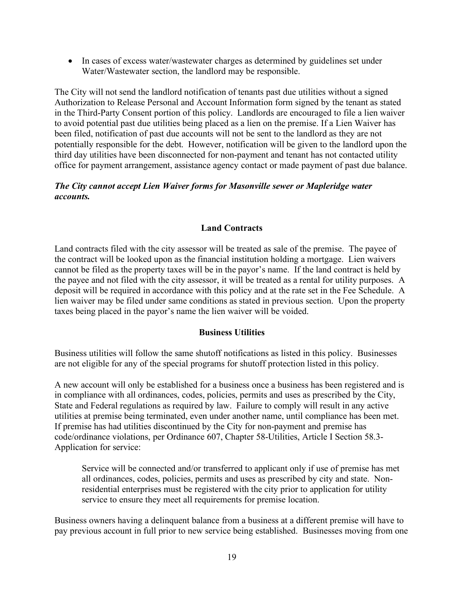• In cases of excess water/wastewater charges as determined by guidelines set under Water/Wastewater section, the landlord may be responsible.

The City will not send the landlord notification of tenants past due utilities without a signed Authorization to Release Personal and Account Information form signed by the tenant as stated in the Third-Party Consent portion of this policy. Landlords are encouraged to file a lien waiver to avoid potential past due utilities being placed as a lien on the premise. If a Lien Waiver has been filed, notification of past due accounts will not be sent to the landlord as they are not potentially responsible for the debt. However, notification will be given to the landlord upon the third day utilities have been disconnected for non-payment and tenant has not contacted utility office for payment arrangement, assistance agency contact or made payment of past due balance.

## *The City cannot accept Lien Waiver forms for Masonville sewer or Mapleridge water accounts.*

# **Land Contracts**

Land contracts filed with the city assessor will be treated as sale of the premise. The payee of the contract will be looked upon as the financial institution holding a mortgage. Lien waivers cannot be filed as the property taxes will be in the payor's name. If the land contract is held by the payee and not filed with the city assessor, it will be treated as a rental for utility purposes. A deposit will be required in accordance with this policy and at the rate set in the Fee Schedule. A lien waiver may be filed under same conditions as stated in previous section. Upon the property taxes being placed in the payor's name the lien waiver will be voided.

#### **Business Utilities**

Business utilities will follow the same shutoff notifications as listed in this policy. Businesses are not eligible for any of the special programs for shutoff protection listed in this policy.

A new account will only be established for a business once a business has been registered and is in compliance with all ordinances, codes, policies, permits and uses as prescribed by the City, State and Federal regulations as required by law. Failure to comply will result in any active utilities at premise being terminated, even under another name, until compliance has been met. If premise has had utilities discontinued by the City for non-payment and premise has code/ordinance violations, per Ordinance 607, Chapter 58-Utilities, Article I Section 58.3- Application for service:

Service will be connected and/or transferred to applicant only if use of premise has met all ordinances, codes, policies, permits and uses as prescribed by city and state. Nonresidential enterprises must be registered with the city prior to application for utility service to ensure they meet all requirements for premise location.

Business owners having a delinquent balance from a business at a different premise will have to pay previous account in full prior to new service being established. Businesses moving from one